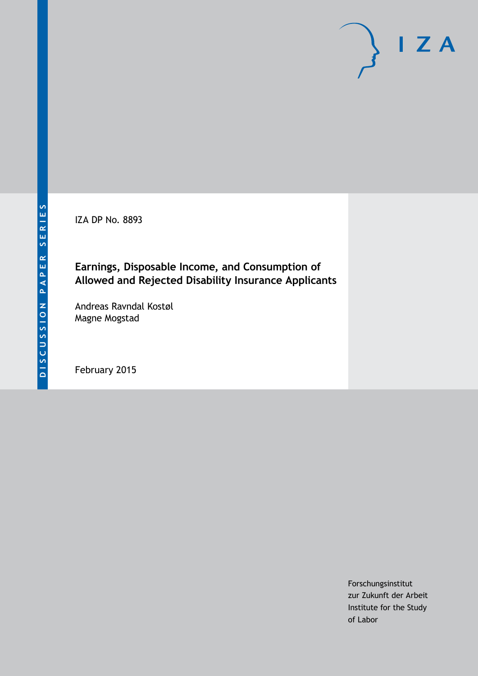IZA DP No. 8893

## **Earnings, Disposable Income, and Consumption of Allowed and Rejected Disability Insurance Applicants**

Andreas Ravndal Kostøl Magne Mogstad

February 2015

Forschungsinstitut zur Zukunft der Arbeit Institute for the Study of Labor

 $I Z A$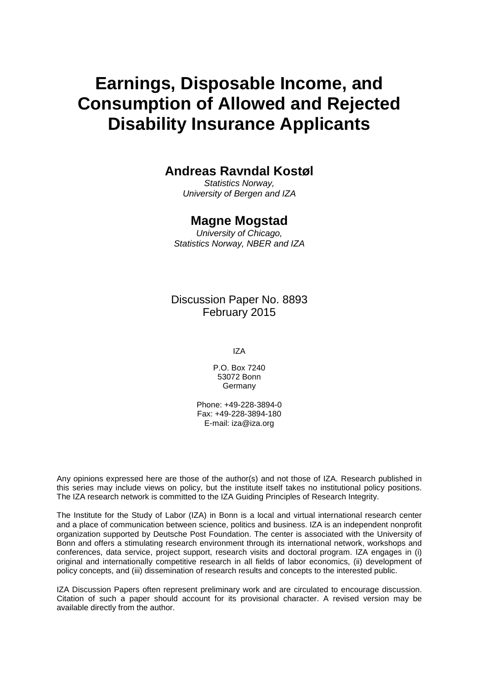# **Earnings, Disposable Income, and Consumption of Allowed and Rejected Disability Insurance Applicants**

#### **Andreas Ravndal Kostøl**

*Statistics Norway, University of Bergen and IZA*

#### **Magne Mogstad**

*University of Chicago, Statistics Norway, NBER and IZA*

Discussion Paper No. 8893 February 2015

IZA

P.O. Box 7240 53072 Bonn Germany

Phone: +49-228-3894-0 Fax: +49-228-3894-180 E-mail: [iza@iza.org](mailto:iza@iza.org)

Any opinions expressed here are those of the author(s) and not those of IZA. Research published in this series may include views on policy, but the institute itself takes no institutional policy positions. The IZA research network is committed to the IZA Guiding Principles of Research Integrity.

The Institute for the Study of Labor (IZA) in Bonn is a local and virtual international research center and a place of communication between science, politics and business. IZA is an independent nonprofit organization supported by Deutsche Post Foundation. The center is associated with the University of Bonn and offers a stimulating research environment through its international network, workshops and conferences, data service, project support, research visits and doctoral program. IZA engages in (i) original and internationally competitive research in all fields of labor economics, (ii) development of policy concepts, and (iii) dissemination of research results and concepts to the interested public.

<span id="page-1-0"></span>IZA Discussion Papers often represent preliminary work and are circulated to encourage discussion. Citation of such a paper should account for its provisional character. A revised version may be available directly from the author.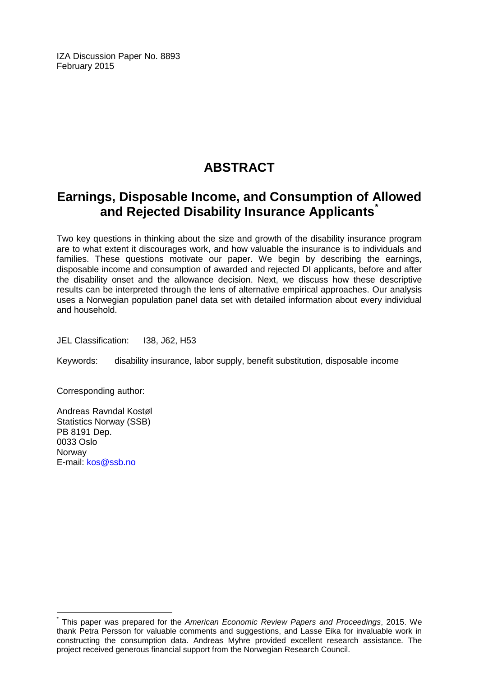IZA Discussion Paper No. 8893 February 2015

# **ABSTRACT**

## **Earnings, Disposable Income, and Consumption of Allowed and Rejected Disability Insurance Applicants[\\*](#page-1-0)**

Two key questions in thinking about the size and growth of the disability insurance program are to what extent it discourages work, and how valuable the insurance is to individuals and families. These questions motivate our paper. We begin by describing the earnings, disposable income and consumption of awarded and rejected DI applicants, before and after the disability onset and the allowance decision. Next, we discuss how these descriptive results can be interpreted through the lens of alternative empirical approaches. Our analysis uses a Norwegian population panel data set with detailed information about every individual and household.

JEL Classification: I38, J62, H53

Keywords: disability insurance, labor supply, benefit substitution, disposable income

Corresponding author:

Andreas Ravndal Kostøl Statistics Norway (SSB) PB 8191 Dep. 0033 Oslo Norway E-mail: [kos@ssb.no](mailto:kos@ssb.no)

\* This paper was prepared for the *American Economic Review Papers and Proceedings*, 2015. We thank Petra Persson for valuable comments and suggestions, and Lasse Eika for invaluable work in constructing the consumption data. Andreas Myhre provided excellent research assistance. The project received generous financial support from the Norwegian Research Council.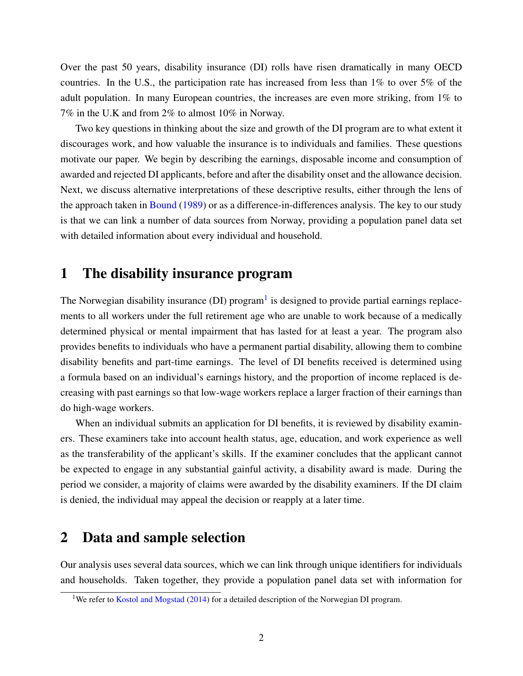Over the past 50 years, disability insurance (DI) rolls have risen dramatically in many OECD countries. In the U.S., the participation rate has increased from less than 1% to over 5% of the adult population. In many European countries, the increases are even more striking, from 1% to 7% in the U.K and from 2% to almost 10% in Norway.

Two key questions in thinking about the size and growth of the DI program are to what extent it discourages work, and how valuable the insurance is to individuals and families. These questions motivate our paper. We begin by describing the earnings, disposable income and consumption of awarded and rejected DI applicants, before and after the disability onset and the allowance decision. Next, we discuss alternative interpretations of these descriptive results, either through the lens of the approach taken in [Bound](#page-8-0) [\(1989\)](#page-8-0) or as a difference-in-differences analysis. The key to our study is that we can link a number of data sources from Norway, providing a population panel data set with detailed information about every individual and household.

#### 1 The disability insurance program

The Norwegian disability insurance (DI) program<sup>[1](#page-3-0)</sup> is designed to provide partial earnings replacements to all workers under the full retirement age who are unable to work because of a medically determined physical or mental impairment that has lasted for at least a year. The program also provides benefits to individuals who have a permanent partial disability, allowing them to combine disability benefits and part-time earnings. The level of DI benefits received is determined using a formula based on an individual's earnings history, and the proportion of income replaced is decreasing with past earnings so that low-wage workers replace a larger fraction of their earnings than do high-wage workers.

When an individual submits an application for DI benefits, it is reviewed by disability examiners. These examiners take into account health status, age, education, and work experience as well as the transferability of the applicant's skills. If the examiner concludes that the applicant cannot be expected to engage in any substantial gainful activity, a disability award is made. During the period we consider, a majority of claims were awarded by the disability examiners. If the DI claim is denied, the individual may appeal the decision or reapply at a later time.

#### 2 Data and sample selection

Our analysis uses several data sources, which we can link through unique identifiers for individuals and households. Taken together, they provide a population panel data set with information for

<span id="page-3-0"></span><sup>&</sup>lt;sup>1</sup>We refer to [Kostol and Mogstad](#page-8-1) [\(2014\)](#page-8-1) for a detailed description of the Norwegian DI program.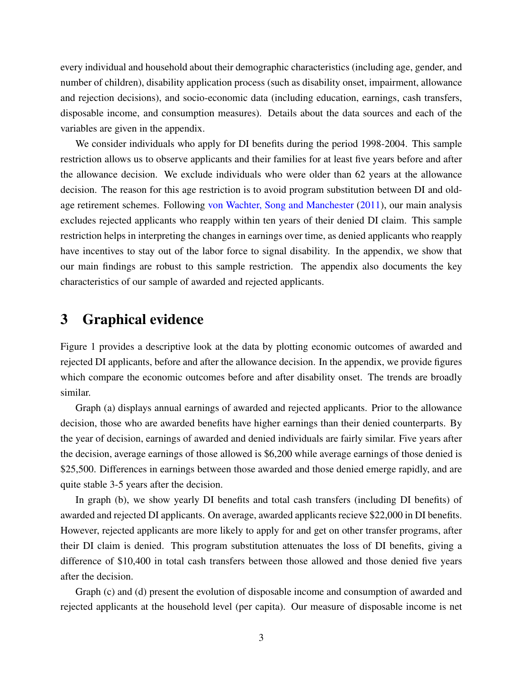every individual and household about their demographic characteristics (including age, gender, and number of children), disability application process (such as disability onset, impairment, allowance and rejection decisions), and socio-economic data (including education, earnings, cash transfers, disposable income, and consumption measures). Details about the data sources and each of the variables are given in the appendix.

We consider individuals who apply for DI benefits during the period 1998-2004. This sample restriction allows us to observe applicants and their families for at least five years before and after the allowance decision. We exclude individuals who were older than 62 years at the allowance decision. The reason for this age restriction is to avoid program substitution between DI and oldage retirement schemes. Following [von Wachter, Song and Manchester](#page-9-0) [\(2011\)](#page-9-0), our main analysis excludes rejected applicants who reapply within ten years of their denied DI claim. This sample restriction helps in interpreting the changes in earnings over time, as denied applicants who reapply have incentives to stay out of the labor force to signal disability. In the appendix, we show that our main findings are robust to this sample restriction. The appendix also documents the key characteristics of our sample of awarded and rejected applicants.

#### 3 Graphical evidence

Figure 1 provides a descriptive look at the data by plotting economic outcomes of awarded and rejected DI applicants, before and after the allowance decision. In the appendix, we provide figures which compare the economic outcomes before and after disability onset. The trends are broadly similar.

Graph (a) displays annual earnings of awarded and rejected applicants. Prior to the allowance decision, those who are awarded benefits have higher earnings than their denied counterparts. By the year of decision, earnings of awarded and denied individuals are fairly similar. Five years after the decision, average earnings of those allowed is \$6,200 while average earnings of those denied is \$25,500. Differences in earnings between those awarded and those denied emerge rapidly, and are quite stable 3-5 years after the decision.

In graph (b), we show yearly DI benefits and total cash transfers (including DI benefits) of awarded and rejected DI applicants. On average, awarded applicants recieve \$22,000 in DI benefits. However, rejected applicants are more likely to apply for and get on other transfer programs, after their DI claim is denied. This program substitution attenuates the loss of DI benefits, giving a difference of \$10,400 in total cash transfers between those allowed and those denied five years after the decision.

Graph (c) and (d) present the evolution of disposable income and consumption of awarded and rejected applicants at the household level (per capita). Our measure of disposable income is net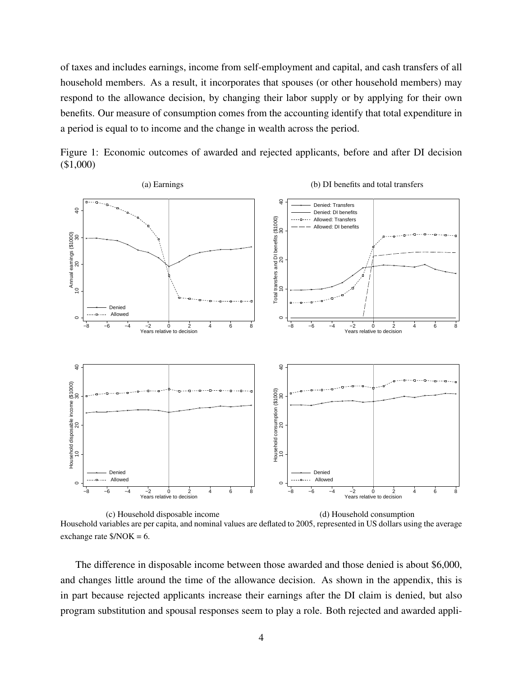of taxes and includes earnings, income from self-employment and capital, and cash transfers of all household members. As a result, it incorporates that spouses (or other household members) may respond to the allowance decision, by changing their labor supply or by applying for their own benefits. Our measure of consumption comes from the accounting identify that total expenditure in a period is equal to to income and the change in wealth across the period.





(c) Household disposable income (d) Household consumption Household variables are per capita, and nominal values are deflated to 2005, represented in US dollars using the average exchange rate  $NOK = 6$ .

The difference in disposable income between those awarded and those denied is about \$6,000, and changes little around the time of the allowance decision. As shown in the appendix, this is in part because rejected applicants increase their earnings after the DI claim is denied, but also program substitution and spousal responses seem to play a role. Both rejected and awarded appli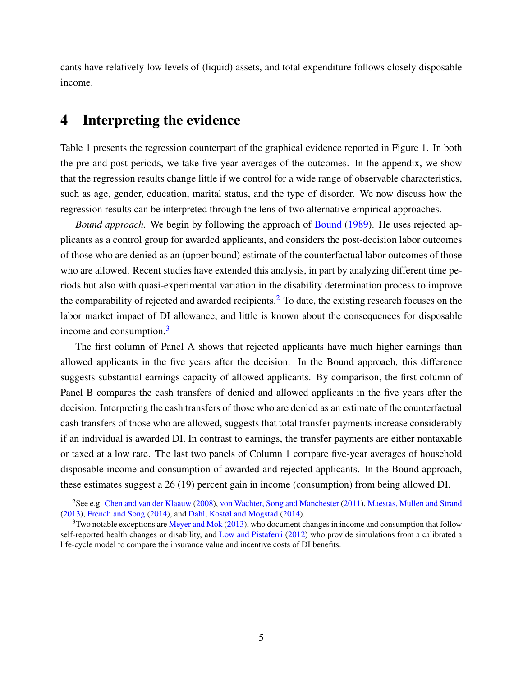cants have relatively low levels of (liquid) assets, and total expenditure follows closely disposable income.

#### 4 Interpreting the evidence

Table 1 presents the regression counterpart of the graphical evidence reported in Figure 1. In both the pre and post periods, we take five-year averages of the outcomes. In the appendix, we show that the regression results change little if we control for a wide range of observable characteristics, such as age, gender, education, marital status, and the type of disorder. We now discuss how the regression results can be interpreted through the lens of two alternative empirical approaches.

*Bound approach.* We begin by following the approach of [Bound](#page-8-0) [\(1989\)](#page-8-0). He uses rejected applicants as a control group for awarded applicants, and considers the post-decision labor outcomes of those who are denied as an (upper bound) estimate of the counterfactual labor outcomes of those who are allowed. Recent studies have extended this analysis, in part by analyzing different time periods but also with quasi-experimental variation in the disability determination process to improve the comparability of rejected and awarded recipients.<sup>[2](#page-6-0)</sup> To date, the existing research focuses on the labor market impact of DI allowance, and little is known about the consequences for disposable income and consumption.<sup>[3](#page-6-1)</sup>

The first column of Panel A shows that rejected applicants have much higher earnings than allowed applicants in the five years after the decision. In the Bound approach, this difference suggests substantial earnings capacity of allowed applicants. By comparison, the first column of Panel B compares the cash transfers of denied and allowed applicants in the five years after the decision. Interpreting the cash transfers of those who are denied as an estimate of the counterfactual cash transfers of those who are allowed, suggests that total transfer payments increase considerably if an individual is awarded DI. In contrast to earnings, the transfer payments are either nontaxable or taxed at a low rate. The last two panels of Column 1 compare five-year averages of household disposable income and consumption of awarded and rejected applicants. In the Bound approach, these estimates suggest a 26 (19) percent gain in income (consumption) from being allowed DI.

<span id="page-6-0"></span><sup>2</sup>See e.g. [Chen and van der Klaauw](#page-8-2) [\(2008\)](#page-8-2), [von Wachter, Song and Manchester](#page-9-0) [\(2011\)](#page-9-0), [Maestas, Mullen and Strand](#page-9-1) [\(2013\)](#page-9-1), [French and Song](#page-8-3) [\(2014\)](#page-8-3), and [Dahl, Kostøl and Mogstad](#page-8-4) [\(2014\)](#page-8-4).

<span id="page-6-1"></span> $3$ Two notable exceptions are [Meyer and Mok](#page-9-2) [\(2013\)](#page-9-2), who document changes in income and consumption that follow self-reported health changes or disability, and [Low and Pistaferri](#page-8-5) [\(2012\)](#page-8-5) who provide simulations from a calibrated a life-cycle model to compare the insurance value and incentive costs of DI benefits.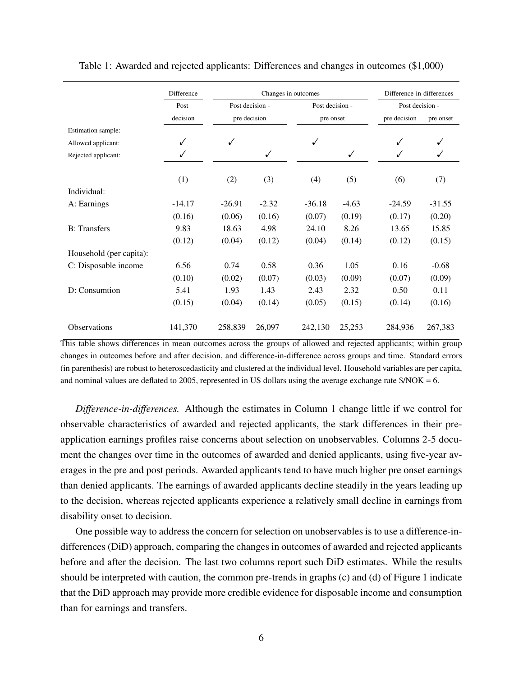|                         | Difference | Changes in outcomes |              |                 |           | Difference-in-differences<br>Post decision - |           |
|-------------------------|------------|---------------------|--------------|-----------------|-----------|----------------------------------------------|-----------|
|                         | Post       | Post decision -     |              | Post decision - |           |                                              |           |
|                         | decision   |                     | pre decision |                 | pre onset |                                              | pre onset |
| Estimation sample:      |            |                     |              |                 |           |                                              |           |
| Allowed applicant:      | ✓          | ✓                   |              | ✓               |           | $\checkmark$                                 |           |
| Rejected applicant:     | ✓          |                     | ✓            |                 | ✓         | ✓                                            | ✓         |
|                         | (1)        | (2)                 | (3)          | (4)             | (5)       | (6)                                          | (7)       |
| Individual:             |            |                     |              |                 |           |                                              |           |
| A: Earnings             | $-14.17$   | $-26.91$            | $-2.32$      | $-36.18$        | $-4.63$   | $-24.59$                                     | $-31.55$  |
|                         | (0.16)     | (0.06)              | (0.16)       | (0.07)          | (0.19)    | (0.17)                                       | (0.20)    |
| <b>B</b> : Transfers    | 9.83       | 18.63               | 4.98         | 24.10           | 8.26      | 13.65                                        | 15.85     |
|                         | (0.12)     | (0.04)              | (0.12)       | (0.04)          | (0.14)    | (0.12)                                       | (0.15)    |
| Household (per capita): |            |                     |              |                 |           |                                              |           |
| C: Disposable income    | 6.56       | 0.74                | 0.58         | 0.36            | 1.05      | 0.16                                         | $-0.68$   |
|                         | (0.10)     | (0.02)              | (0.07)       | (0.03)          | (0.09)    | (0.07)                                       | (0.09)    |
| D: Consumtion           | 5.41       | 1.93                | 1.43         | 2.43            | 2.32      | 0.50                                         | 0.11      |
|                         | (0.15)     | (0.04)              | (0.14)       | (0.05)          | (0.15)    | (0.14)                                       | (0.16)    |
| <b>Observations</b>     | 141,370    | 258,839             | 26,097       | 242,130         | 25,253    | 284,936                                      | 267,383   |

Table 1: Awarded and rejected applicants: Differences and changes in outcomes (\$1,000)

This table shows differences in mean outcomes across the groups of allowed and rejected applicants; within group changes in outcomes before and after decision, and difference-in-difference across groups and time. Standard errors (in parenthesis) are robust to heteroscedasticity and clustered at the individual level. Household variables are per capita, and nominal values are deflated to 2005, represented in US dollars using the average exchange rate  $\gamma NOK = 6$ .

*Difference-in-differences.* Although the estimates in Column 1 change little if we control for observable characteristics of awarded and rejected applicants, the stark differences in their preapplication earnings profiles raise concerns about selection on unobservables. Columns 2-5 document the changes over time in the outcomes of awarded and denied applicants, using five-year averages in the pre and post periods. Awarded applicants tend to have much higher pre onset earnings than denied applicants. The earnings of awarded applicants decline steadily in the years leading up to the decision, whereas rejected applicants experience a relatively small decline in earnings from disability onset to decision.

One possible way to address the concern for selection on unobservables is to use a difference-indifferences (DiD) approach, comparing the changes in outcomes of awarded and rejected applicants before and after the decision. The last two columns report such DiD estimates. While the results should be interpreted with caution, the common pre-trends in graphs (c) and (d) of Figure 1 indicate that the DiD approach may provide more credible evidence for disposable income and consumption than for earnings and transfers.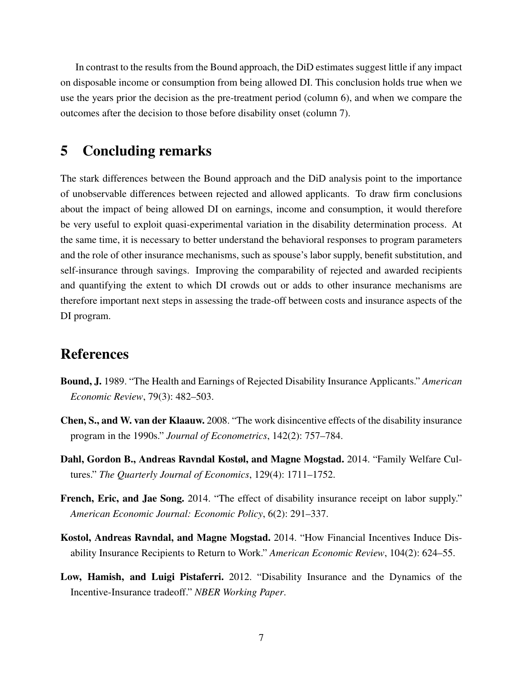In contrast to the results from the Bound approach, the DiD estimates suggest little if any impact on disposable income or consumption from being allowed DI. This conclusion holds true when we use the years prior the decision as the pre-treatment period (column 6), and when we compare the outcomes after the decision to those before disability onset (column 7).

#### 5 Concluding remarks

The stark differences between the Bound approach and the DiD analysis point to the importance of unobservable differences between rejected and allowed applicants. To draw firm conclusions about the impact of being allowed DI on earnings, income and consumption, it would therefore be very useful to exploit quasi-experimental variation in the disability determination process. At the same time, it is necessary to better understand the behavioral responses to program parameters and the role of other insurance mechanisms, such as spouse's labor supply, benefit substitution, and self-insurance through savings. Improving the comparability of rejected and awarded recipients and quantifying the extent to which DI crowds out or adds to other insurance mechanisms are therefore important next steps in assessing the trade-off between costs and insurance aspects of the DI program.

#### References

- <span id="page-8-0"></span>Bound, J. 1989. "The Health and Earnings of Rejected Disability Insurance Applicants." *American Economic Review*, 79(3): 482–503.
- <span id="page-8-2"></span>Chen, S., and W. van der Klaauw. 2008. "The work disincentive effects of the disability insurance program in the 1990s." *Journal of Econometrics*, 142(2): 757–784.
- <span id="page-8-4"></span>Dahl, Gordon B., Andreas Ravndal Kostøl, and Magne Mogstad. 2014. "Family Welfare Cultures." *The Quarterly Journal of Economics*, 129(4): 1711–1752.
- <span id="page-8-3"></span>French, Eric, and Jae Song. 2014. "The effect of disability insurance receipt on labor supply." *American Economic Journal: Economic Policy*, 6(2): 291–337.
- <span id="page-8-1"></span>Kostol, Andreas Ravndal, and Magne Mogstad. 2014. "How Financial Incentives Induce Disability Insurance Recipients to Return to Work." *American Economic Review*, 104(2): 624–55.
- <span id="page-8-5"></span>Low, Hamish, and Luigi Pistaferri. 2012. "Disability Insurance and the Dynamics of the Incentive-Insurance tradeoff." *NBER Working Paper*.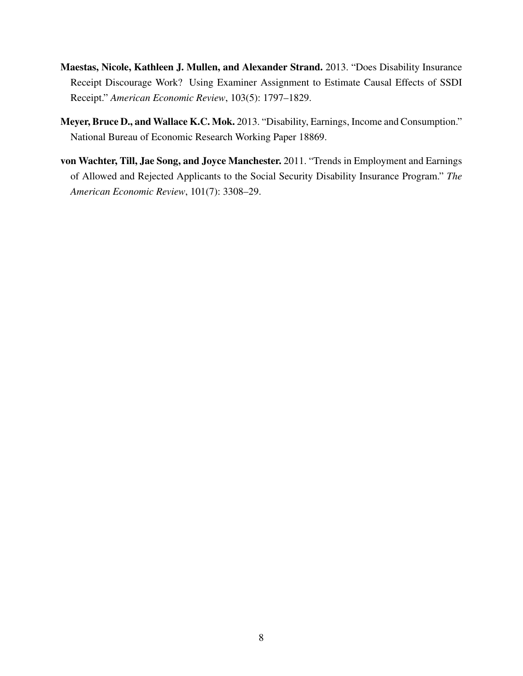- <span id="page-9-1"></span>Maestas, Nicole, Kathleen J. Mullen, and Alexander Strand. 2013. "Does Disability Insurance Receipt Discourage Work? Using Examiner Assignment to Estimate Causal Effects of SSDI Receipt." *American Economic Review*, 103(5): 1797–1829.
- <span id="page-9-2"></span>Meyer, Bruce D., and Wallace K.C. Mok. 2013. "Disability, Earnings, Income and Consumption." National Bureau of Economic Research Working Paper 18869.
- <span id="page-9-0"></span>von Wachter, Till, Jae Song, and Joyce Manchester. 2011. "Trends in Employment and Earnings of Allowed and Rejected Applicants to the Social Security Disability Insurance Program." *The American Economic Review*, 101(7): 3308–29.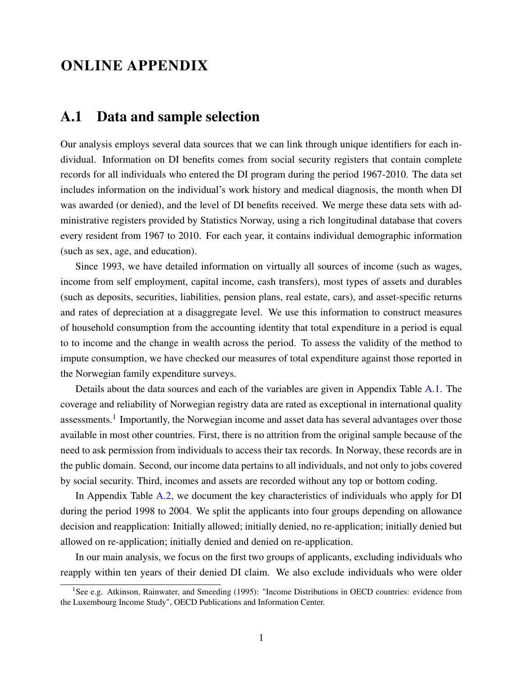## ONLINE APPENDIX

#### <span id="page-10-1"></span>A.1 Data and sample selection

Our analysis employs several data sources that we can link through unique identifiers for each individual. Information on DI benefits comes from social security registers that contain complete records for all individuals who entered the DI program during the period 1967-2010. The data set includes information on the individual's work history and medical diagnosis, the month when DI was awarded (or denied), and the level of DI benefits received. We merge these data sets with administrative registers provided by Statistics Norway, using a rich longitudinal database that covers every resident from 1967 to 2010. For each year, it contains individual demographic information (such as sex, age, and education).

Since 1993, we have detailed information on virtually all sources of income (such as wages, income from self employment, capital income, cash transfers), most types of assets and durables (such as deposits, securities, liabilities, pension plans, real estate, cars), and asset-specific returns and rates of depreciation at a disaggregate level. We use this information to construct measures of household consumption from the accounting identity that total expenditure in a period is equal to to income and the change in wealth across the period. To assess the validity of the method to impute consumption, we have checked our measures of total expenditure against those reported in the Norwegian family expenditure surveys.

Details about the data sources and each of the variables are given in Appendix Table [A.1.](#page-11-0) The coverage and reliability of Norwegian registry data are rated as exceptional in international quality assessments.<sup>[1](#page-10-0)</sup> Importantly, the Norwegian income and asset data has several advantages over those available in most other countries. First, there is no attrition from the original sample because of the need to ask permission from individuals to access their tax records. In Norway, these records are in the public domain. Second, our income data pertains to all individuals, and not only to jobs covered by social security. Third, incomes and assets are recorded without any top or bottom coding.

In Appendix Table [A.2,](#page-12-0) we document the key characteristics of individuals who apply for DI during the period 1998 to 2004. We split the applicants into four groups depending on allowance decision and reapplication: Initially allowed; initially denied, no re-application; initially denied but allowed on re-application; initially denied and denied on re-application.

In our main analysis, we focus on the first two groups of applicants, excluding individuals who reapply within ten years of their denied DI claim. We also exclude individuals who were older

<span id="page-10-0"></span><sup>&</sup>lt;sup>1</sup>See e.g. Atkinson, Rainwater, and Smeeding (1995): "Income Distributions in OECD countries: evidence from the Luxembourg Income Study", OECD Publications and Information Center.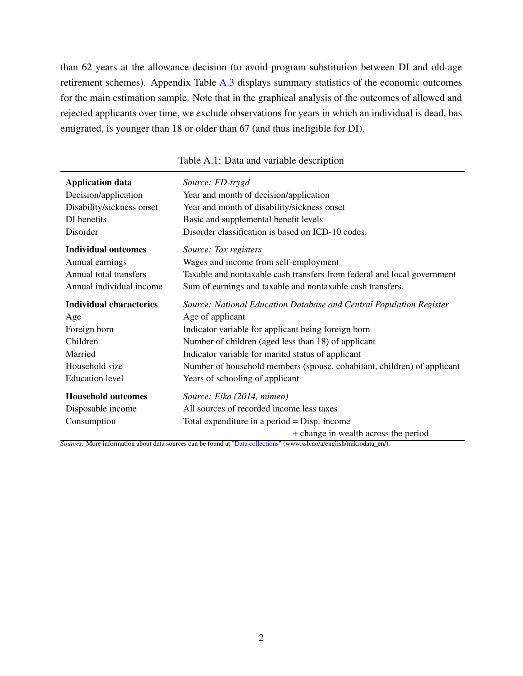than 62 years at the allowance decision (to avoid program substitution between DI and old-age retirement schemes). Appendix Table [A.3](#page-13-0) displays summary statistics of the economic outcomes for the main estimation sample. Note that in the graphical analysis of the outcomes of allowed and rejected applicants over time, we exclude observations for years in which an individual is dead, has emigrated, is younger than 18 or older than 67 (and thus ineligible for DI).

<span id="page-11-0"></span>

| <b>Application data</b>                                       | Source: FD-trygd                                                                                                                                                  |
|---------------------------------------------------------------|-------------------------------------------------------------------------------------------------------------------------------------------------------------------|
| Decision/application                                          | Year and month of decision/application                                                                                                                            |
| Disability/sickness onset                                     | Year and month of disability/sickness onset                                                                                                                       |
| DI benefits                                                   | Basic and supplemental benefit levels                                                                                                                             |
| Disorder                                                      | Disorder classification is based on ICD-10 codes.                                                                                                                 |
| <b>Individual outcomes</b>                                    | Source: Tax registers                                                                                                                                             |
| Annual earnings                                               | Wages and income from self-employment                                                                                                                             |
| Annual total transfers                                        | Taxable and nontaxable cash transfers from federal and local government                                                                                           |
| Annual individual income                                      | Sum of earnings and taxable and nontaxable cash transfers.                                                                                                        |
| <b>Individual characterics</b>                                | Source: National Education Database and Central Population Register                                                                                               |
| Age                                                           | Age of applicant                                                                                                                                                  |
| Foreign born                                                  | Indicator variable for applicant being foreign born                                                                                                               |
| Children                                                      | Number of children (aged less than 18) of applicant                                                                                                               |
| Married                                                       | Indicator variable for marital status of applicant                                                                                                                |
| Household size                                                | Number of household members (spouse, cohabitant, children) of applicant                                                                                           |
| <b>Education</b> level                                        | Years of schooling of applicant                                                                                                                                   |
| <b>Household outcomes</b><br>Disposable income<br>Consumption | Source: Eika (2014, mimeo)<br>All sources of recorded income less taxes<br>Total expenditure in a period $=$ Disp. income<br>+ change in wealth across the period |

#### Table A.1: Data and variable description

*Sources:* More information about data sources can be found at ["Data collections"](http://www.ssb.no/a/english/mikrodata_en/) (www.ssb.no/a/english/mikrodata\_en/).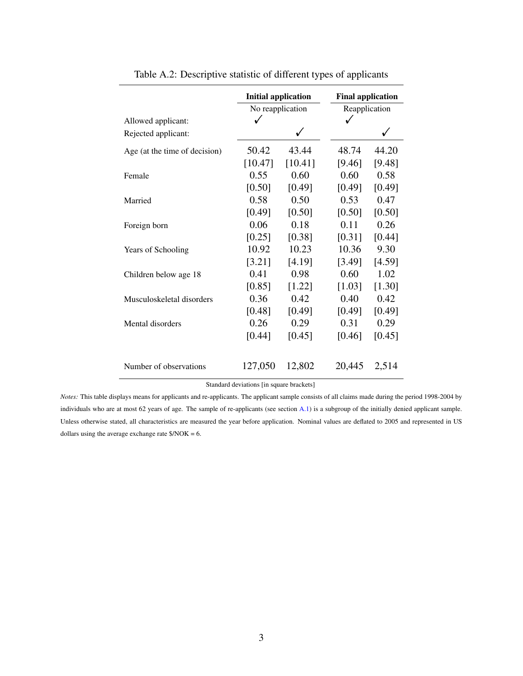<span id="page-12-0"></span>

|                               | <b>Initial application</b> |         | <b>Final application</b> |        |  |
|-------------------------------|----------------------------|---------|--------------------------|--------|--|
|                               | No reapplication           |         | Reapplication            |        |  |
| Allowed applicant:            | ✓                          |         | ✓                        |        |  |
| Rejected applicant:           |                            |         |                          |        |  |
| Age (at the time of decision) | 50.42                      | 43.44   | 48.74                    | 44.20  |  |
|                               | [10.47]                    | [10.41] | [9.46]                   | [9.48] |  |
| Female                        | 0.55                       | 0.60    | 0.60                     | 0.58   |  |
|                               | [0.50]                     | [0.49]  | [0.49]                   | [0.49] |  |
| Married                       | 0.58                       | 0.50    | 0.53                     | 0.47   |  |
|                               | [0.49]                     | [0.50]  | [0.50]                   | [0.50] |  |
| Foreign born                  | 0.06                       | 0.18    | 0.11                     | 0.26   |  |
|                               | [0.25]                     | [0.38]  | [0.31]                   | [0.44] |  |
| Years of Schooling            | 10.92                      | 10.23   | 10.36                    | 9.30   |  |
|                               | [3.21]                     | [4.19]  | [3.49]                   | [4.59] |  |
| Children below age 18         | 0.41                       | 0.98    | 0.60                     | 1.02   |  |
|                               | [0.85]                     | [1.22]  | [1.03]                   | [1.30] |  |
| Musculoskeletal disorders     | 0.36                       | 0.42    | 0.40                     | 0.42   |  |
|                               | [0.48]                     | [0.49]  | [0.49]                   | [0.49] |  |
| Mental disorders              | 0.26                       | 0.29    | 0.31                     | 0.29   |  |
|                               | [0.44]                     | [0.45]  | [0.46]                   | [0.45] |  |
| Number of observations        | 127,050                    | 12,802  | 20,445                   | 2,514  |  |

| Table A.2: Descriptive statistic of different types of applicants |  |  |
|-------------------------------------------------------------------|--|--|
|-------------------------------------------------------------------|--|--|

Standard deviations [in square brackets]

*Notes:* This table displays means for applicants and re-applicants. The applicant sample consists of all claims made during the period 1998-2004 by individuals who are at most 62 years of age. The sample of re-applicants (see section [A.1\)](#page-10-1) is a subgroup of the initially denied applicant sample. Unless otherwise stated, all characteristics are measured the year before application. Nominal values are deflated to 2005 and represented in US dollars using the average exchange rate  $\gamma NOK = 6$ .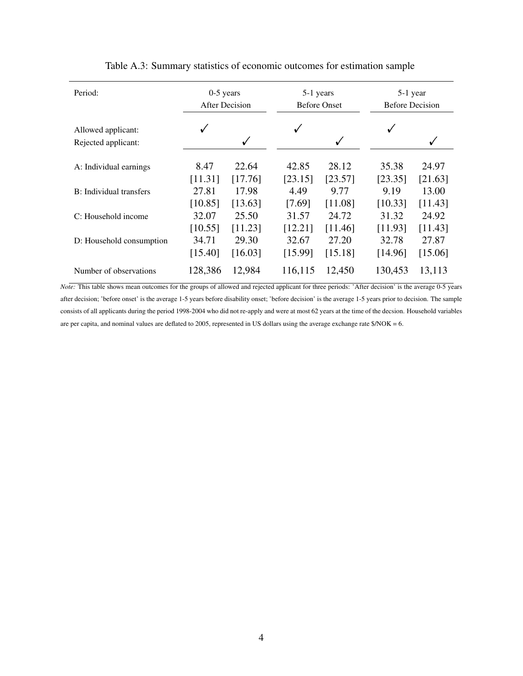<span id="page-13-0"></span>

| Period:                  | $0-5$ years<br><b>After Decision</b> |         | 5-1 years<br><b>Before Onset</b> |         | 5-1 year<br><b>Before Decision</b> |         |
|--------------------------|--------------------------------------|---------|----------------------------------|---------|------------------------------------|---------|
| Allowed applicant:       |                                      |         | √                                | ✓       | √                                  |         |
| Rejected applicant:      |                                      |         |                                  |         |                                    | √       |
| A: Individual earnings   | 8.47                                 | 22.64   | 42.85                            | 28.12   | 35.38                              | 24.97   |
|                          | [11.31]                              | [17.76] | [23.15]                          | [23.57] | [23.35]                            | [21.63] |
| B: Individual transfers  | 27.81                                | 17.98   | 4.49                             | 9.77    | 9.19                               | 13.00   |
|                          | [10.85]                              | [13.63] | [7.69]                           | [11.08] | [10.33]                            | [11.43] |
| C: Household income      | 32.07                                | 25.50   | 31.57                            | 24.72   | 31.32                              | 24.92   |
|                          | [10.55]                              | [11.23] | [12.21]                          | [11.46] | [11.93]                            | [11.43] |
| D: Household consumption | 34.71                                | 29.30   | 32.67                            | 27.20   | 32.78                              | 27.87   |
|                          | [15.40]                              | [16.03] | [15.99]                          | [15.18] | [14.96]                            | [15.06] |
| Number of observations   | 128,386                              | 12,984  | 116,115                          | 12,450  | 130,453                            | 13,113  |

#### Table A.3: Summary statistics of economic outcomes for estimation sample

*Note:* This table shows mean outcomes for the groups of allowed and rejected applicant for three periods: 'After decision' is the average 0-5 years after decision; 'before onset' is the average 1-5 years before disability onset; 'before decision' is the average 1-5 years prior to decision. The sample consists of all applicants during the period 1998-2004 who did not re-apply and were at most 62 years at the time of the decsion. Household variables are per capita, and nominal values are deflated to 2005, represented in US dollars using the average exchange rate \$/NOK = 6.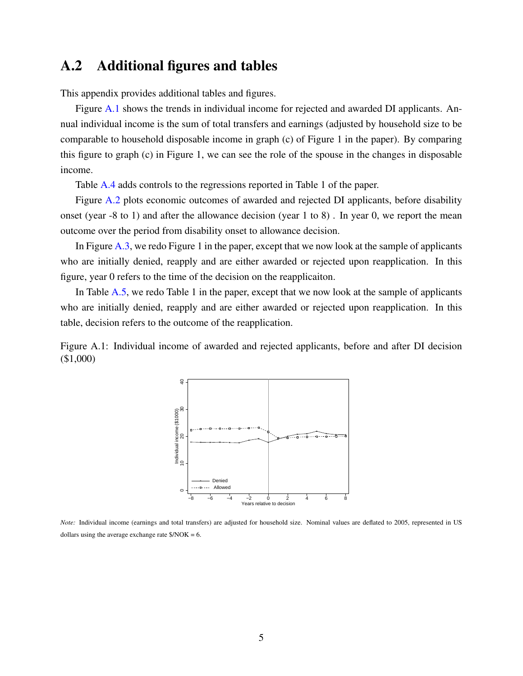#### A.2 Additional figures and tables

This appendix provides additional tables and figures.

Figure [A.1](#page-14-0) shows the trends in individual income for rejected and awarded DI applicants. Annual individual income is the sum of total transfers and earnings (adjusted by household size to be comparable to household disposable income in graph (c) of Figure 1 in the paper). By comparing this figure to graph (c) in Figure 1, we can see the role of the spouse in the changes in disposable income.

Table [A.4](#page-15-0) adds controls to the regressions reported in Table 1 of the paper.

Figure [A.2](#page-16-0) plots economic outcomes of awarded and rejected DI applicants, before disability onset (year -8 to 1) and after the allowance decision (year 1 to 8) . In year 0, we report the mean outcome over the period from disability onset to allowance decision.

In Figure [A.3,](#page-17-0) we redo Figure 1 in the paper, except that we now look at the sample of applicants who are initially denied, reapply and are either awarded or rejected upon reapplication. In this figure, year 0 refers to the time of the decision on the reapplicaiton.

In Table [A.5,](#page-18-0) we redo Table 1 in the paper, except that we now look at the sample of applicants who are initially denied, reapply and are either awarded or rejected upon reapplication. In this table, decision refers to the outcome of the reapplication.

<span id="page-14-0"></span>Figure A.1: Individual income of awarded and rejected applicants, before and after DI decision (\$1,000)



*Note:* Individual income (earnings and total transfers) are adjusted for household size. Nominal values are deflated to 2005, represented in US dollars using the average exchange rate  $\gamma NOK = 6$ .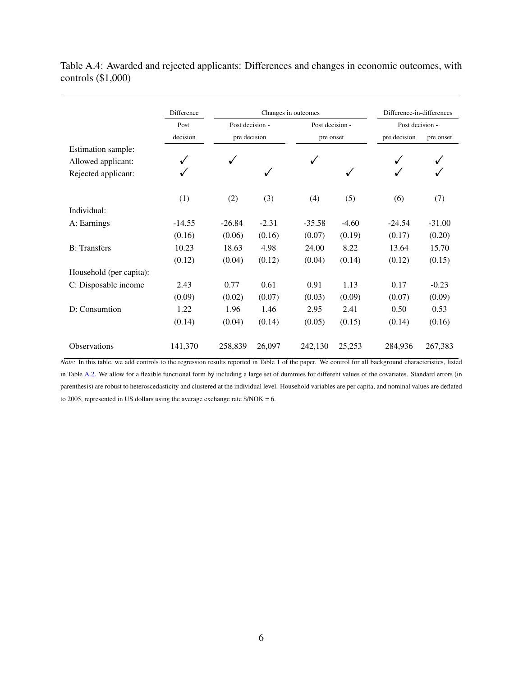|                         | Difference | Changes in outcomes |              |                 | Difference-in-differences |                 |           |
|-------------------------|------------|---------------------|--------------|-----------------|---------------------------|-----------------|-----------|
|                         | Post       | Post decision -     |              | Post decision - |                           | Post decision - |           |
|                         | decision   |                     | pre decision |                 | pre onset                 |                 | pre onset |
| Estimation sample:      |            |                     |              |                 |                           |                 |           |
| Allowed applicant:      | √          | √                   |              |                 |                           |                 |           |
| Rejected applicant:     | ✓          |                     | ✓            |                 | $\checkmark$              |                 |           |
|                         | (1)        | (2)                 | (3)          | (4)             | (5)                       | (6)             | (7)       |
| Individual:             |            |                     |              |                 |                           |                 |           |
| A: Earnings             | $-14.55$   | $-26.84$            | $-2.31$      | $-35.58$        | $-4.60$                   | $-24.54$        | $-31.00$  |
|                         | (0.16)     | (0.06)              | (0.16)       | (0.07)          | (0.19)                    | (0.17)          | (0.20)    |
| <b>B</b> : Transfers    | 10.23      | 18.63               | 4.98         | 24.00           | 8.22                      | 13.64           | 15.70     |
|                         | (0.12)     | (0.04)              | (0.12)       | (0.04)          | (0.14)                    | (0.12)          | (0.15)    |
| Household (per capita): |            |                     |              |                 |                           |                 |           |
| C: Disposable income    | 2.43       | 0.77                | 0.61         | 0.91            | 1.13                      | 0.17            | $-0.23$   |
|                         | (0.09)     | (0.02)              | (0.07)       | (0.03)          | (0.09)                    | (0.07)          | (0.09)    |
| D: Consumtion           | 1.22       | 1.96                | 1.46         | 2.95            | 2.41                      | 0.50            | 0.53      |
|                         | (0.14)     | (0.04)              | (0.14)       | (0.05)          | (0.15)                    | (0.14)          | (0.16)    |
| <b>Observations</b>     | 141,370    | 258,839             | 26,097       | 242,130         | 25,253                    | 284,936         | 267,383   |

<span id="page-15-0"></span>Table A.4: Awarded and rejected applicants: Differences and changes in economic outcomes, with controls (\$1,000)

*Note:* In this table, we add controls to the regression results reported in Table 1 of the paper. We control for all background characteristics, listed in Table [A.2.](#page-12-0) We allow for a flexible functional form by including a large set of dummies for different values of the covariates. Standard errors (in parenthesis) are robust to heteroscedasticity and clustered at the individual level. Household variables are per capita, and nominal values are deflated to 2005, represented in US dollars using the average exchange rate \$/NOK = 6.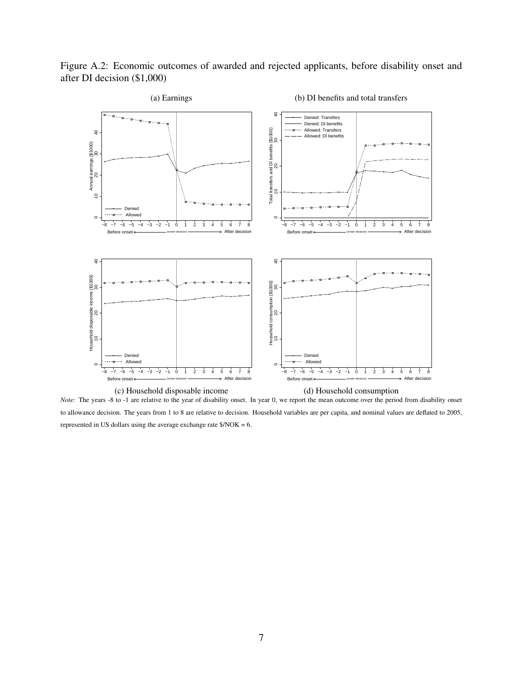<span id="page-16-0"></span>Figure A.2: Economic outcomes of awarded and rejected applicants, before disability onset and after DI decision (\$1,000)



*Note:* The years -8 to -1 are relative to the year of disability onset. In year 0, we report the mean outcome over the period from disability onset to allowance decision. The years from 1 to 8 are relative to decision. Household variables are per capita, and nominal values are deflated to 2005, represented in US dollars using the average exchange rate \$/NOK = 6.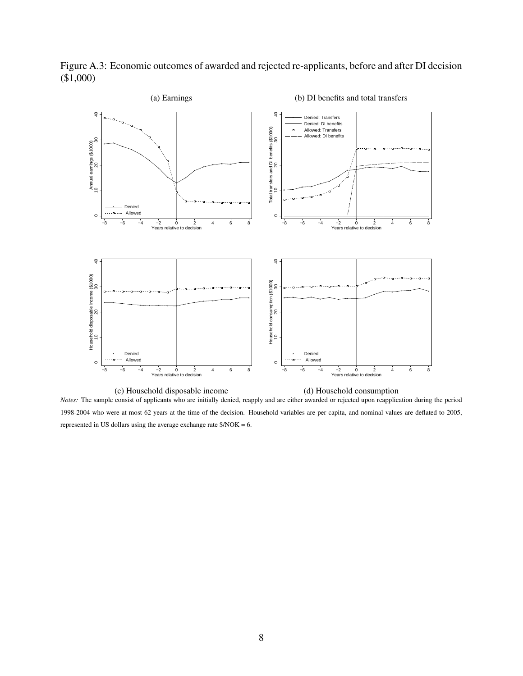(a) Earnings (b) DI benefits and total transfers  $\overline{a}$  $\overline{a}$  10 20 30 40 10 20 30 40 Denied: Transfers Denied: DI benefits Total transfers and DI benefits (\$1000)<br>10<br>20 Total transfers and DI benefits (\$1000) Allowed: Transfers Allowed: DI benefits Annual earnings (\$1000)<br>10 20 20 Annual earnings (\$1000) Denied ------- Allowed  $\circ$  $\circ$ −8 −6 −4 −2 0 2 4 6 8 Years relative to decision −8 −6 −4 −2 0 2 4 6 8 Years relative to decision  $\overline{40}$  $\overline{a}$  10 20 30 40 10 20 30 40 Household disposable income (\$1000)<br>10<br>20 Household disposable income (\$1000) Household consumption (\$1000)<br>10<br>20 Household consumption (\$1000) Denied Denied  $\ddotsc$  Allowed Allowed  $\circ$ −8 −6 −4 −2 0 2 4 6 8 Years relative to decision −8 −6 −4 −2 0 2 4 6 8 Years relative to decision

<span id="page-17-0"></span>Figure A.3: Economic outcomes of awarded and rejected re-applicants, before and after DI decision (\$1,000)

(c) Household disposable income (d) Household consumption *Notes:* The sample consist of applicants who are initially denied, reapply and are either awarded or rejected upon reapplication during the period 1998-2004 who were at most 62 years at the time of the decision. Household variables are per capita, and nominal values are deflated to 2005, represented in US dollars using the average exchange rate \$/NOK = 6.